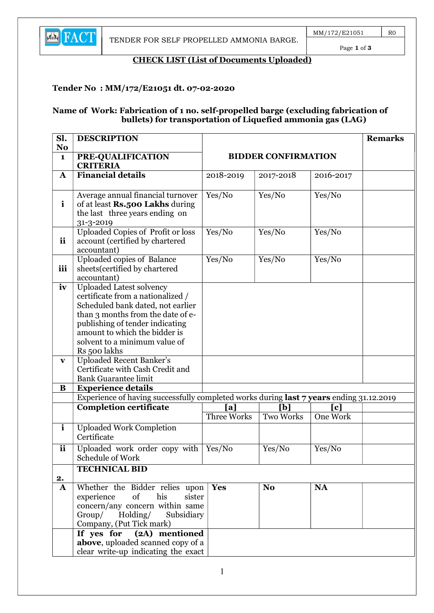

Page 1 of 3

### CHECK LIST (List of Documents Uploaded)

### Tender No : MM/172/E21051 dt. 07-02-2020

#### Name of Work: Fabrication of 1 no. self-propelled barge (excluding fabrication of bullets) for transportation of Liquefied ammonia gas (LAG)

| Sl.                            | <b>DESCRIPTION</b>                                                                      |                           |                            |                               | <b>Remarks</b> |
|--------------------------------|-----------------------------------------------------------------------------------------|---------------------------|----------------------------|-------------------------------|----------------|
| N <sub>o</sub><br>$\mathbf{1}$ | PRE-QUALIFICATION                                                                       |                           | <b>BIDDER CONFIRMATION</b> |                               |                |
|                                | <b>CRITERIA</b>                                                                         |                           |                            |                               |                |
| $\mathbf A$                    | <b>Financial details</b>                                                                | 2018-2019                 | 2017-2018                  | 2016-2017                     |                |
|                                |                                                                                         |                           |                            |                               |                |
| $\mathbf{i}$                   | Average annual financial turnover<br>of at least Rs.500 Lakhs during                    | Yes/No                    | Yes/No                     | Yes/No                        |                |
|                                | the last three years ending on                                                          |                           |                            |                               |                |
|                                | 31-3-2019                                                                               |                           |                            |                               |                |
| ii                             | <b>Uploaded Copies of Profit or loss</b>                                                | Yes/No                    | Yes/No                     | Yes/No                        |                |
|                                | account (certified by chartered<br>accountant)                                          |                           |                            |                               |                |
|                                | Uploaded copies of Balance                                                              | Yes/No                    | Yes/No                     | Yes/No                        |                |
| iii                            | sheets (certified by chartered                                                          |                           |                            |                               |                |
| iv                             | accountant)<br><b>Uploaded Latest solvency</b>                                          |                           |                            |                               |                |
|                                | certificate from a nationalized /                                                       |                           |                            |                               |                |
|                                | Scheduled bank dated, not earlier                                                       |                           |                            |                               |                |
|                                | than 3 months from the date of e-                                                       |                           |                            |                               |                |
|                                | publishing of tender indicating<br>amount to which the bidder is                        |                           |                            |                               |                |
|                                | solvent to a minimum value of                                                           |                           |                            |                               |                |
|                                | Rs 500 lakhs                                                                            |                           |                            |                               |                |
| $\mathbf{v}$                   | <b>Uploaded Recent Banker's</b><br>Certificate with Cash Credit and                     |                           |                            |                               |                |
|                                | <b>Bank Guarantee limit</b>                                                             |                           |                            |                               |                |
| $\bf{B}$                       | <b>Experience details</b>                                                               |                           |                            |                               |                |
|                                | Experience of having successfully completed works during last 7 years ending 31.12.2019 |                           |                            |                               |                |
|                                | <b>Completion certificate</b>                                                           | [a]<br><b>Three Works</b> | [b]<br><b>Two Works</b>    | $\lceil c \rceil$<br>One Work |                |
| $\mathbf{i}$                   | <b>Uploaded Work Completion</b>                                                         |                           |                            |                               |                |
|                                | Certificate                                                                             |                           |                            |                               |                |
| <b>ii</b>                      | Uploaded work order copy with<br>Schedule of Work                                       | Yes/No                    | Yes/No                     | Yes/No                        |                |
|                                | <b>TECHNICAL BID</b>                                                                    |                           |                            |                               |                |
| 2.                             |                                                                                         |                           |                            |                               |                |
| ${\bf A}$                      | Whether the Bidder relies upon                                                          | <b>Yes</b>                | N <sub>o</sub>             | <b>NA</b>                     |                |
|                                | experience<br>of<br>his<br>sister<br>concern/any concern within same                    |                           |                            |                               |                |
|                                | Group/ Holding/<br>Subsidiary                                                           |                           |                            |                               |                |
|                                | Company, (Put Tick mark)                                                                |                           |                            |                               |                |
|                                | If yes for $(2A)$ mentioned                                                             |                           |                            |                               |                |
|                                | above, uploaded scanned copy of a<br>clear write-up indicating the exact                |                           |                            |                               |                |
|                                |                                                                                         |                           |                            |                               |                |

1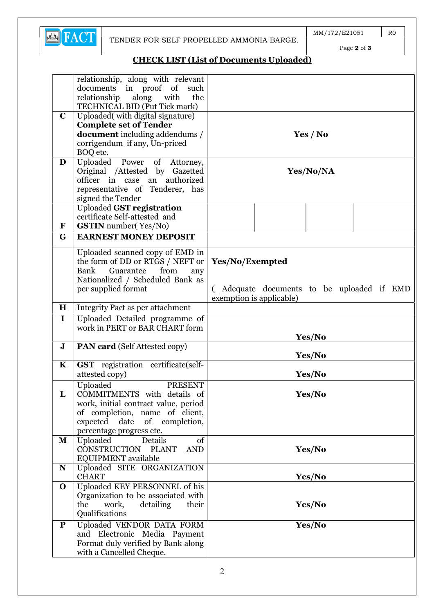

Page 2 of 3

# CHECK LIST (List of Documents Uploaded)

|              | relationship, along with relevant                                 |                                          |  |  |
|--------------|-------------------------------------------------------------------|------------------------------------------|--|--|
|              | documents in proof of<br>such                                     |                                          |  |  |
|              | relationship<br>along<br>with<br>the                              |                                          |  |  |
| $\mathbf C$  | TECHNICAL BID (Put Tick mark)<br>Uploaded(with digital signature) |                                          |  |  |
|              | <b>Complete set of Tender</b>                                     |                                          |  |  |
|              | <b>document</b> including addendums /                             | Yes / No                                 |  |  |
|              | corrigendum if any, Un-priced                                     |                                          |  |  |
|              | BOQ etc.                                                          |                                          |  |  |
| D            | Uploaded Power of Attorney,                                       |                                          |  |  |
|              | Original /Attested by Gazetted                                    | Yes/No/NA                                |  |  |
|              | officer in case an authorized                                     |                                          |  |  |
|              | representative of Tenderer, has                                   |                                          |  |  |
|              | signed the Tender                                                 |                                          |  |  |
|              | <b>Uploaded GST registration</b><br>certificate Self-attested and |                                          |  |  |
| $\mathbf{F}$ | <b>GSTIN</b> number(Yes/No)                                       |                                          |  |  |
| G            | <b>EARNEST MONEY DEPOSIT</b>                                      |                                          |  |  |
|              |                                                                   |                                          |  |  |
|              | Uploaded scanned copy of EMD in                                   |                                          |  |  |
|              | the form of DD or RTGS / NEFT or                                  | Yes/No/Exempted                          |  |  |
|              | Bank<br>Guarantee<br>from<br>any                                  |                                          |  |  |
|              | Nationalized / Scheduled Bank as<br>per supplied format           | Adequate documents to be uploaded if EMD |  |  |
|              |                                                                   | exemption is applicable)                 |  |  |
| H            | Integrity Pact as per attachment                                  |                                          |  |  |
| $\mathbf I$  | Uploaded Detailed programme of                                    |                                          |  |  |
|              | work in PERT or BAR CHART form                                    |                                          |  |  |
|              |                                                                   | Yes/No                                   |  |  |
| ${\bf J}$    | <b>PAN card</b> (Self Attested copy)                              | Yes/No                                   |  |  |
| $\mathbf K$  | GST registration certificate(self-                                |                                          |  |  |
|              | attested copy)                                                    | Yes/No                                   |  |  |
|              | Uploaded<br><b>PRESENT</b>                                        |                                          |  |  |
| L            | COMMITMENTS with details of                                       | <b>Yes/No</b>                            |  |  |
|              | work, initial contract value, period                              |                                          |  |  |
|              | of completion, name of client,<br>expected date of completion,    |                                          |  |  |
|              | percentage progress etc.                                          |                                          |  |  |
| M            | $\overline{\text{of}}$<br>Uploaded<br>Details                     |                                          |  |  |
|              | CONSTRUCTION PLANT<br><b>AND</b>                                  | Yes/No                                   |  |  |
|              | EQUIPMENT available                                               |                                          |  |  |
| N            | Uploaded SITE ORGANIZATION                                        |                                          |  |  |
|              | <b>CHART</b>                                                      | Yes/No                                   |  |  |
| $\mathbf 0$  | Uploaded KEY PERSONNEL of his                                     |                                          |  |  |
|              | Organization to be associated with                                |                                          |  |  |
|              | the<br>work,<br>detailing<br>their<br>Qualifications              | Yes/No                                   |  |  |
|              |                                                                   |                                          |  |  |
| ${\bf P}$    | Uploaded VENDOR DATA FORM<br>and Electronic Media Payment         | Yes/No                                   |  |  |
|              | Format duly verified by Bank along                                |                                          |  |  |
|              | with a Cancelled Cheque.                                          |                                          |  |  |
|              |                                                                   |                                          |  |  |